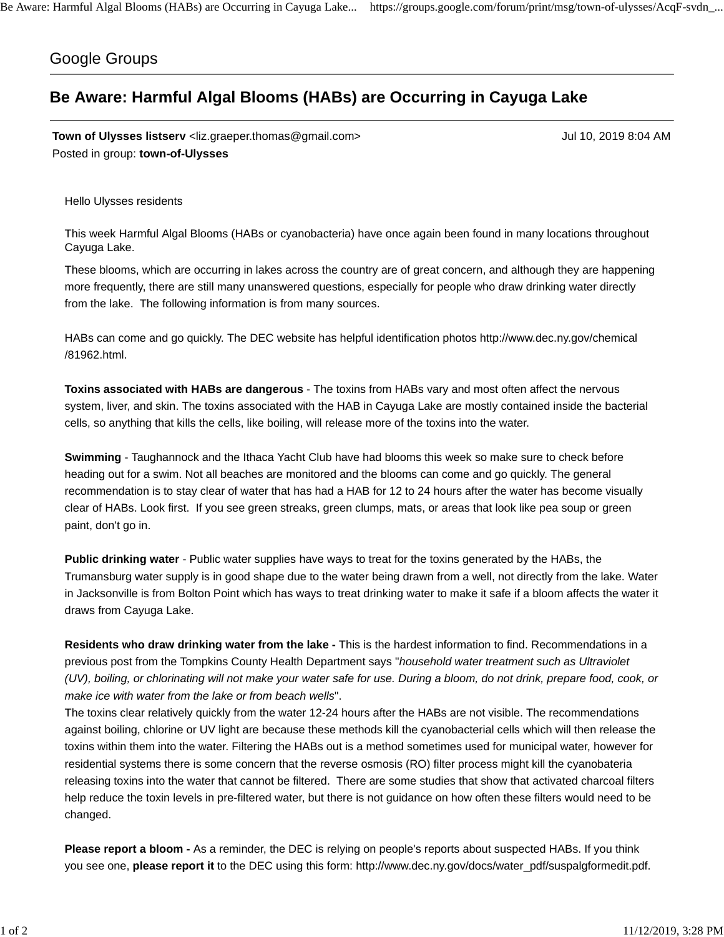## Google Groups

## **Be Aware: Harmful Algal Blooms (HABs) are Occurring in Cayuga Lake**

**Town of Ulysses listserv** <liz.graeper.thomas@gmail.com> Jul 10, 2019 8:04 AM Posted in group: **town-of-Ulysses**

Hello Ulysses residents

This week Harmful Algal Blooms (HABs or cyanobacteria) have once again been found in many locations throughout Cayuga Lake.

These blooms, which are occurring in lakes across the country are of great concern, and although they are happening more frequently, there are still many unanswered questions, especially for people who draw drinking water directly from the lake. The following information is from many sources.

HABs can come and go quickly. The DEC website has helpful identification photos http://www.dec.ny.gov/chemical /81962.html.

**Toxins associated with HABs are dangerous** - The toxins from HABs vary and most often affect the nervous system, liver, and skin. The toxins associated with the HAB in Cayuga Lake are mostly contained inside the bacterial cells, so anything that kills the cells, like boiling, will release more of the toxins into the water.

**Swimming** - Taughannock and the Ithaca Yacht Club have had blooms this week so make sure to check before heading out for a swim. Not all beaches are monitored and the blooms can come and go quickly. The general recommendation is to stay clear of water that has had a HAB for 12 to 24 hours after the water has become visually clear of HABs. Look first. If you see green streaks, green clumps, mats, or areas that look like pea soup or green paint, don't go in.

**Public drinking water** - Public water supplies have ways to treat for the toxins generated by the HABs, the Trumansburg water supply is in good shape due to the water being drawn from a well, not directly from the lake. Water in Jacksonville is from Bolton Point which has ways to treat drinking water to make it safe if a bloom affects the water it draws from Cayuga Lake.

**Residents who draw drinking water from the lake -** This is the hardest information to find. Recommendations in a previous post from the Tompkins County Health Department says "*household water treatment such as Ultraviolet (UV), boiling, or chlorinating will not make your water safe for use. During a bloom, do not drink, prepare food, cook, or make ice with water from the lake or from beach wells*".

The toxins clear relatively quickly from the water 12-24 hours after the HABs are not visible. The recommendations against boiling, chlorine or UV light are because these methods kill the cyanobacterial cells which will then release the toxins within them into the water. Filtering the HABs out is a method sometimes used for municipal water, however for residential systems there is some concern that the reverse osmosis (RO) filter process might kill the cyanobateria releasing toxins into the water that cannot be filtered. There are some studies that show that activated charcoal filters help reduce the toxin levels in pre-filtered water, but there is not guidance on how often these filters would need to be changed.

**Please report a bloom -** As a reminder, the DEC is relying on people's reports about suspected HABs. If you think you see one, **please report it** to the DEC using this form: http://www.dec.ny.gov/docs/water\_pdf/suspalgformedit.pdf.